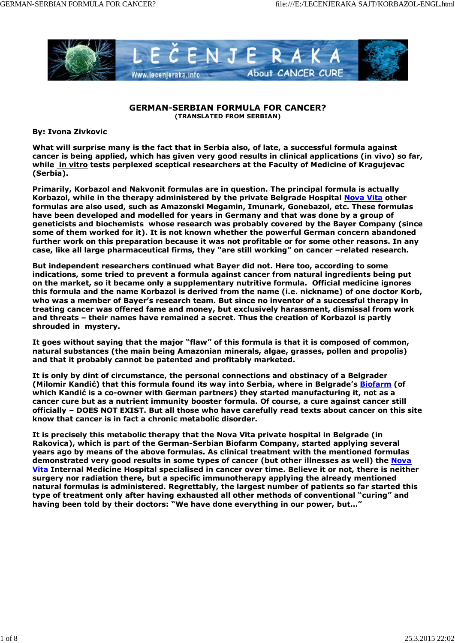

### **GERMAN-SERBIAN FORMULA FOR CANCER? (TRANSLATED FROM SERBIAN)**

**By: Ivona Zivkovic**

**What will surprise many is the fact that in Serbia also, of late, a successful formula against cancer is being applied, which has given very good results in clinical applications (***in vivo***) so far, while** *in vitro* **tests perplexed sceptical researchers at the Faculty of Medicine of Kragujevac (Serbia).**

**Primarily, Korbazol and Nakvonit formulas are in question. The principal formula is actually Korbazol, while in the therapy administered by the private Belgrade Hospital Nova Vita other formulas are also used, such as Amazonski Megamin, Imunark, Gonebazol, etc. These formulas have been developed and modelled for years in Germany and that was done by a group of geneticists and biochemists whose research was probably covered by the Bayer Company (since some of them worked for it). It is not known whether the powerful German concern abandoned further work on this preparation because it was not profitable or for some other reasons. In any case, like all large pharmaceutical firms, they "are still working" on cancer –related research.**

**But independent researchers continued what Bayer did not. Here too, according to some indications, some tried to prevent a formula against cancer from natural ingredients being put on the market, so it became only a supplementary nutritive formula. Official medicine ignores this formula and the name Korbazol is derived from the name (i.e. nickname) of one doctor Korb, who was a member of Bayer's research team. But since no inventor of a successful therapy in treating cancer was offered fame and money, but exclusively harassment, dismissal from work and threats – their names have remained a secret. Thus the creation of Korbazol is partly shrouded in mystery.**

**It goes without saying that the major "flaw" of this formula is that it is composed of common, natural substances (the main being Amazonian minerals, algae, grasses, pollen and propolis) and that it probably cannot be patented and profitably marketed.**

**It is only by dint of circumstance, the personal connections and obstinacy of a Belgrader (Milomir Kandić) that this formula found its way into Serbia, where in Belgrade's Biofarm (of which Kandić is a co-owner with German partners) they started manufacturing it, not as a cancer cure but as a nutrient immunity booster formula. Of course, a cure against cancer still officially – DOES NOT EXIST. But all those who have carefully read texts about cancer on this site know that cancer is in fact a chronic metabolic disorder.**

**It is precisely this metabolic therapy that the Nova Vita private hospital in Belgrade (in Rakovica), which is part of the German-Serbian Biofarm Company, started applying several years ago by means of the above formulas. As clinical treatment with the mentioned formulas demonstrated very good results in some types of cancer (but other illnesses as well) the Nova Vita Internal Medicine Hospital specialised in cancer over time. Believe it or not, there is neither surgery nor radiation there, but a specific immunotherapy applying the already mentioned natural formulas is administered. Regrettably, the largest number of patients so far started this type of treatment only after having exhausted all other methods of conventional "curing" and having been told by their doctors: "We have done everything in our power, but…"**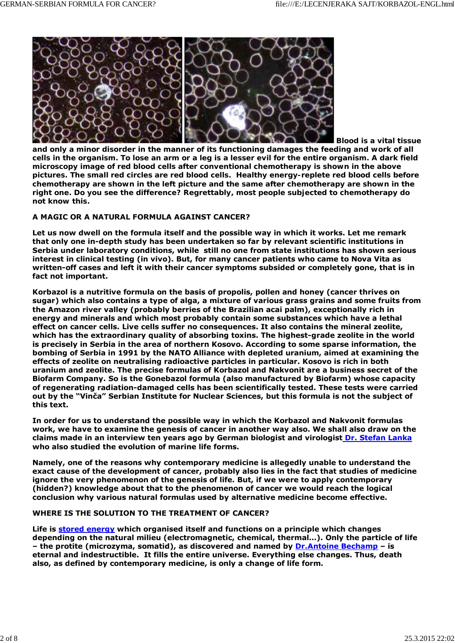

*Blood is a vital tissue*

*and only a minor disorder in the manner of its functioning damages the feeding and work of all cells in the organism. To lose an arm or a leg is a lesser evil for the entire organism. A dark field microscopy image of red blood cells after conventional chemotherapy is shown in the above pictures. The small red circles are red blood cells. Healthy energy-replete red blood cells before chemotherapy are shown in the left picture and the same after chemotherapy are shown in the right one. Do you see the difference? Regrettably, most people subjected to chemotherapy do not know this.*

# **A MAGIC OR A NATURAL FORMULA AGAINST CANCER?**

**Let us now dwell on the formula itself and the possible way in which it works. Let me remark that only one in-depth study has been undertaken so far by relevant scientific institutions in Serbia under laboratory conditions, while still no one from state institutions has shown serious interest in clinical testing (***in vivo***). But, for many cancer patients who came to Nova Vita as written-off cases and left it with their cancer symptoms subsided or completely gone, that is in fact not important.**

**Korbazol is a nutritive formula on the basis of propolis, pollen and honey (cancer thrives on sugar) which also contains a type of alga, a mixture of various grass grains and some fruits from the Amazon river valley (probably berries of the Brazilian acai palm), exceptionally rich in energy and minerals and which most probably contain some substances which have a lethal effect on cancer cells. Live cells suffer no consequences. It also contains the mineral zeolite, which has the extraordinary quality of absorbing toxins. The highest-grade zeolite in the world is precisely in Serbia in the area of northern Kosovo. According to some sparse information, the bombing of Serbia in 1991 by the NATO Alliance with depleted uranium, aimed at examining the effects of zeolite on neutralising radioactive particles in particular. Kosovo is rich in both uranium and zeolite. The precise formulas of Korbazol and Nakvonit are a business secret of the Biofarm Company. So is the Gonebazol formula (also manufactured by Biofarm) whose capacity of regenerating radiation-damaged cells has been scientifically tested. These tests were carried out by the "Vinča" Serbian Institute for Nuclear Sciences, but this formula is not the subject of this text.**

**In order for us to understand the possible way in which the Korbazol and Nakvonit formulas work, we have to examine the genesis of cancer in another way also. We shall also draw on the claims made in an interview ten years ago by German biologist and virologist Dr. Stefan Lanka who also studied the evolution of marine life forms.**

**Namely, one of the reasons why contemporary medicine is allegedly unable to understand the exact cause of the development of cancer, probably also lies in the fact that studies of medicine ignore the very phenomenon of the genesis of life. But, if we were to apply contemporary (hidden?) knowledge about that to the phenomenon of cancer we would reach the logical conclusion why various natural formulas used by alternative medicine become effective.**

## **WHERE IS THE SOLUTION TO THE TREATMENT OF CANCER?**

**Life is stored energy which organised itself and functions on a principle which changes depending on the natural milieu (electromagnetic, chemical, thermal…). Only the particle of life – the protite (microzyma, somatid), as discovered and named by Dr.Antoine Bechamp – is eternal and indestructible. It fills the entire universe. Everything else changes. Thus, death also, as defined by contemporary medicine, is only a change of life form.**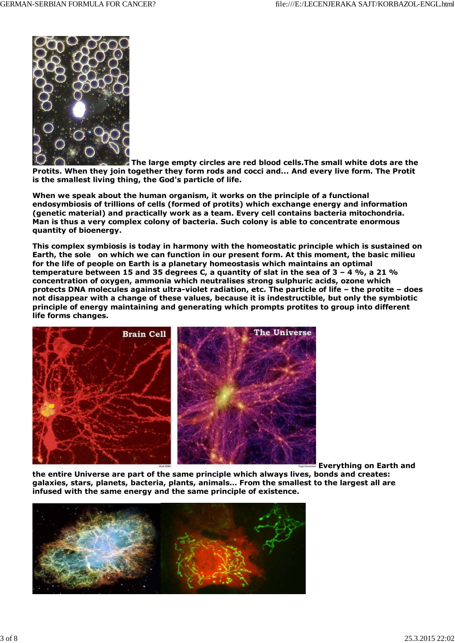

**The large empty circles are red blood cells.The small white dots are the Protits. When they join together they form rods and cocci and... And every live form. The Protit is the smallest living thing, the God's particle of life.**

**When we speak about the human organism, it works on the principle of a functional endosymbiosis of trillions of cells (formed of protits) which exchange energy and information (genetic material) and practically work as a team. Every cell contains bacteria mitochondria. Man is thus a very complex colony of bacteria. Such colony is able to concentrate enormous quantity of bioenergy.**

**This complex symbiosis is today in harmony with the homeostatic principle which is sustained on Earth, the sole on which we can function in our present form. At this moment, the basic milieu for the life of people on Earth is a planetary homeostasis which maintains an optimal temperature between 15 and 35 degrees C, a quantity of slat in the sea of 3 – 4 %, a 21 % concentration of oxygen, ammonia which neutralises strong sulphuric acids, ozone which protects DNA molecules against ultra-violet radiation, etc. The particle of life – the protite – does not disappear with a change of these values, because it is indestructible, but only the symbiotic principle of energy maintaining and generating which prompts protites to group into different life forms changes.**



 **Everything on Earth and**

**the entire Universe are part of the same principle which always lives, bonds and creates: galaxies, stars, planets, bacteria, plants, animals… From the smallest to the largest all are infused with the same energy and the same principle of existence.**

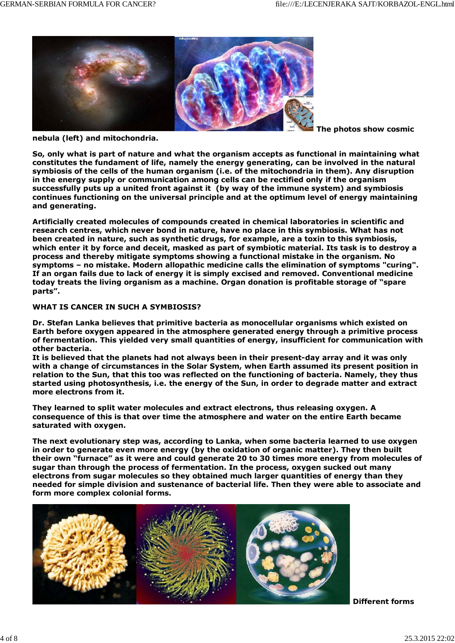

**nebula (left) and mitochondria.**

 **The photos show cosmic**

**So, only what is part of nature and what the organism accepts as functional in maintaining what constitutes the fundament of life, namely the energy generating, can be involved in the natural symbiosis of the cells of the human organism (i.e. of the mitochondria in them). Any disruption in the energy supply or communication among cells can be rectified only if the organism successfully puts up a united front against it (by way of the immune system) and symbiosis continues functioning on the universal principle and at the optimum level of energy maintaining and generating.**

**Artificially created molecules of compounds created in chemical laboratories in scientific and research centres, which never bond in nature, have no place in this symbiosis. What has not been created in nature, such as synthetic drugs, for example, are a toxin to this symbiosis, which enter it by force and deceit, masked as part of symbiotic material. Its task is to destroy a process and thereby mitigate symptoms showing a functional mistake in the organism. No symptoms – no mistake. Modern allopathic medicine calls the elimination of symptoms "curing". If an organ fails due to lack of energy it is simply excised and removed. Conventional medicine today treats the living organism as a machine. Organ donation is profitable storage of "spare parts".**

### **WHAT IS CANCER IN SUCH A SYMBIOSIS?**

**Dr. Stefan Lanka believes that primitive bacteria as monocellular organisms which existed on Earth before oxygen appeared in the atmosphere generated energy through a primitive process of fermentation. This yielded very small quantities of energy, insufficient for communication with other bacteria.**

**It is believed that the planets had not always been in their present-day array and it was only with a change of circumstances in the Solar System, when Earth assumed its present position in relation to the Sun, that this too was reflected on the functioning of bacteria. Namely, they thus started using photosynthesis, i.e. the energy of the Sun, in order to degrade matter and extract more electrons from it.**

**They learned to split water molecules and extract electrons, thus releasing oxygen. A consequence of this is that over time the atmosphere and water on the entire Earth became saturated with oxygen.**

**The next evolutionary step was, according to Lanka, when some bacteria learned to use oxygen in order to generate even more energy (by the oxidation of organic matter). They then built their own "furnace" as it were and could generate 20 to 30 times more energy from molecules of sugar than through the process of fermentation. In the process, oxygen sucked out many electrons from sugar molecules so they obtained much larger quantities of energy than they needed for simple division and sustenance of bacterial life. Then they were able to associate and form more complex colonial forms.**



*Different forms*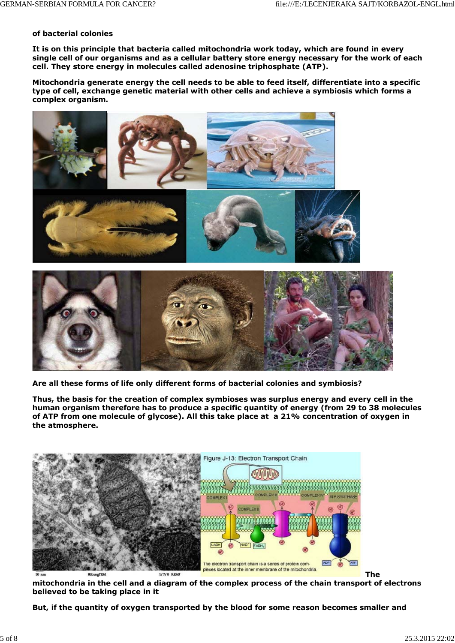#### *of bacterial colonies*

**It is on this principle that bacteria called mitochondria work today, which are found in every single cell of our organisms and as a cellular battery store energy necessary for the work of each cell. They store energy in molecules called adenosine triphosphate (ATP).**

**Mitochondria generate energy the cell needs to be able to feed itself, differentiate into a specific type of cell, exchange genetic material with other cells and achieve a symbiosis which forms a complex organism.**



*Are all these forms of life only different forms of bacterial colonies and symbiosis?*

**Thus, the basis for the creation of complex symbioses was surplus energy and every cell in the human organism therefore has to produce a specific quantity of energy (from 29 to 38 molecules of ATP from one molecule of glycose). All this take place at a 21% concentration of oxygen in the atmosphere.**



*The*

*mitochondria in the cell and a diagram of the complex process of the chain transport of electrons believed to be taking place in it*

**But, if the quantity of oxygen transported by the blood for some reason becomes smaller and**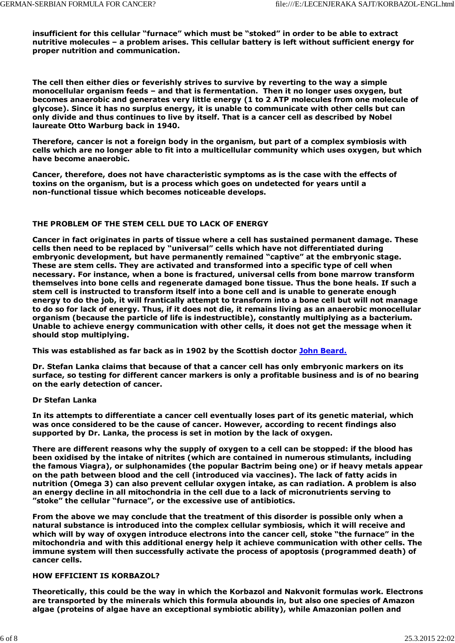**insufficient for this cellular "furnace" which must be "stoked" in order to be able to extract nutritive molecules – a problem arises. This cellular battery is left without sufficient energy for proper nutrition and communication.**

**The cell then either dies or feverishly strives to survive by reverting to the way a simple monocellular organism feeds – and that is fermentation. Then it no longer uses oxygen, but becomes anaerobic and generates very little energy (1 to 2 ATP molecules from one molecule of glycose). Since it has no surplus energy, it is unable to communicate with other cells but can only divide and thus continues to live by itself. That is a cancer cell as described by Nobel laureate Otto Warburg back in 1940.**

**Therefore, cancer is not a foreign body in the organism, but part of a complex symbiosis with cells which are no longer able to fit into a multicellular community which uses oxygen, but which have become anaerobic.**

**Cancer, therefore, does not have characteristic symptoms as is the case with the effects of toxins on the organism, but is a process which goes on undetected for years until a non-functional tissue which becomes noticeable develops.**

# **THE PROBLEM OF THE STEM CELL DUE TO LACK OF ENERGY**

**Cancer in fact originates in parts of tissue where a cell has sustained permanent damage. These cells then need to be replaced by "universal" cells which have not differentiated during embryonic development, but have permanently remained "captive" at the embryonic stage. These are stem cells. They are activated and transformed into a specific type of cell when necessary. For instance, when a bone is fractured, universal cells from bone marrow transform themselves into bone cells and regenerate damaged bone tissue. Thus the bone heals. If such a stem cell is instructed to transform itself into a bone cell and is unable to generate enough energy to do the job, it will frantically attempt to transform into a bone cell but will not manage to do so for lack of energy. Thus, if it does not die, it remains living as an anaerobic monocellular organism (because the particle of life is indestructible), constantly multiplying as a bacterium. Unable to achieve energy communication with other cells, it does not get the message when it should stop multiplying.**

**This was established as far back as in 1902 by the Scottish doctor John Beard.**

**Dr. Stefan Lanka claims that because of that a cancer cell has only embryonic markers on its surface, so testing for different cancer markers is only a profitable business and is of no bearing on the early detection of cancer.**

## **Dr Stefan Lanka**

**In its attempts to differentiate a cancer cell eventually loses part of its genetic material, which was once considered to be the cause of cancer. However, according to recent findings also supported by Dr. Lanka, the process is set in motion by the lack of oxygen.**

**There are different reasons why the supply of oxygen to a cell can be stopped: if the blood has been oxidised by the intake of nitrites (which are contained in numerous stimulants, including the famous Viagra), or sulphonamides (the popular Bactrim being one) or if heavy metals appear on the path between blood and the cell (introduced via vaccines). The lack of fatty acids in nutrition (Omega 3) can also prevent cellular oxygen intake, as can radiation. A problem is also an energy decline in all mitochondria in the cell due to a lack of micronutrients serving to "stoke" the cellular "furnace", or the excessive use of antibiotics.**

**From the above we may conclude that the treatment of this disorder is possible only when a natural substance is introduced into the complex cellular symbiosis, which it will receive and which will by way of oxygen introduce electrons into the cancer cell, stoke "the furnace" in the mitochondria and with this additional energy help it achieve communication with other cells. The immune system will then successfully activate the process of apoptosis (programmed death) of cancer cells.**

## **HOW EFFICIENT IS KORBAZOL?**

**Theoretically, this could be the way in which the Korbazol and Nakvonit formulas work. Electrons are transported by the minerals which this formula abounds in, but also one species of Amazon algae (proteins of algae have an exceptional symbiotic ability), while Amazonian pollen and**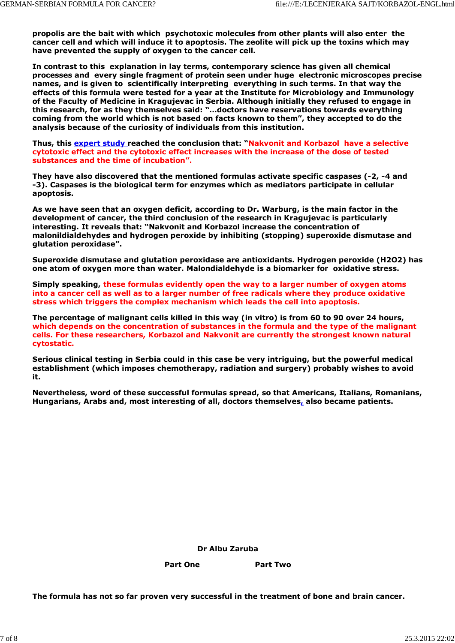**propolis are the bait with which psychotoxic molecules from other plants will also enter the cancer cell and which will induce it to apoptosis. The zeolite will pick up the toxins which may have prevented the supply of oxygen to the cancer cell.**

**In contrast to this explanation in lay terms, contemporary science has given all chemical processes and every single fragment of protein seen under huge electronic microscopes precise names, and is given to scientifically interpreting everything in such terms. In that way the effects of this formula were tested for a year at the Institute for Microbiology and Immunology of the Faculty of Medicine in Kragujevac in Serbia. Although initially they refused to engage in this research, for as they themselves said: "…doctors have reservations towards everything coming from the world which is not based on facts known to them", they accepted to do the analysis because of the curiosity of individuals from this institution.**

**Thus, this expert study reached the conclusion that: "Nakvonit and Korbazol have a selective cytotoxic effect and the cytotoxic effect increases with the increase of the dose of tested substances and the time of incubation".**

**They have also discovered that the mentioned formulas activate specific caspases (-2, -4 and -3). Caspases is the biological term for enzymes which as mediators participate in cellular apoptosis.**

**As we have seen that an oxygen deficit, according to Dr. Warburg, is the main factor in the development of cancer, the third conclusion of the research in Kragujevac is particularly interesting. It reveals that: "Nakvonit and Korbazol increase the concentration of malonildialdehydes and hydrogen peroxide by inhibiting (stopping) superoxide dismutase and glutation peroxidase".**

**Superoxide dismutase and glutation peroxidase are antioxidants. Hydrogen peroxide (H2O2) has one atom of oxygen more than water. Malondialdehyde is a biomarker for oxidative stress.**

**Simply speaking, these formulas evidently open the way to a larger number of oxygen atoms into a cancer cell as well as to a larger number of free radicals where they produce oxidative stress which triggers the complex mechanism which leads the cell into apoptosis.**

**The percentage of malignant cells killed in this way (***in vitro***) is from 60 to 90 over 24 hours, which depends on the concentration of substances in the formula and the type of the malignant cells. For these researchers, Korbazol and Nakvonit are currently the strongest known natural cytostatic.**

**Serious clinical testing in Serbia could in this case be very intriguing, but the powerful medical establishment (which imposes chemotherapy, radiation and surgery) probably wishes to avoid it.**

**Nevertheless, word of these successful formulas spread, so that Americans, Italians, Romanians, Hungarians, Arabs and, most interesting of all, doctors themselves, also became patients.**

**Dr Albu Zaruba**

Part One **Part Two** 

**The formula has not so far proven very successful in the treatment of bone and brain cancer.**